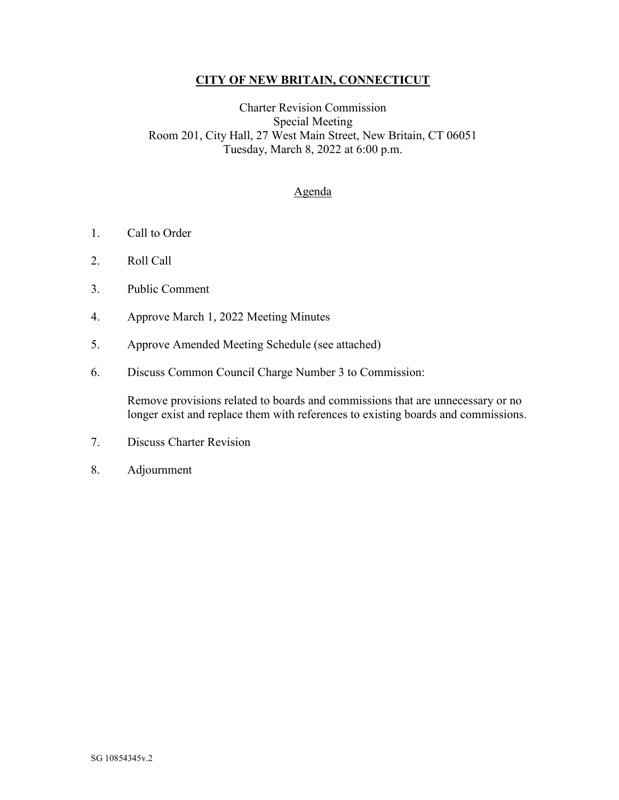## **CITY OF NEW BRITAIN, CONNECTICUT**

## Charter Revision Commission Special Meeting Room 201, City Hall, 27 West Main Street, New Britain, CT 06051 Tuesday, March 8, 2022 at 6:00 p.m.

## Agenda

- 1. Call to Order
- 2. Roll Call
- 3. Public Comment
- 4. Approve March 1, 2022 Meeting Minutes
- 5. Approve Amended Meeting Schedule (see attached)
- 6. Discuss Common Council Charge Number 3 to Commission:

Remove provisions related to boards and commissions that are unnecessary or no longer exist and replace them with references to existing boards and commissions.

- 7. Discuss Charter Revision
- 8. Adjournment